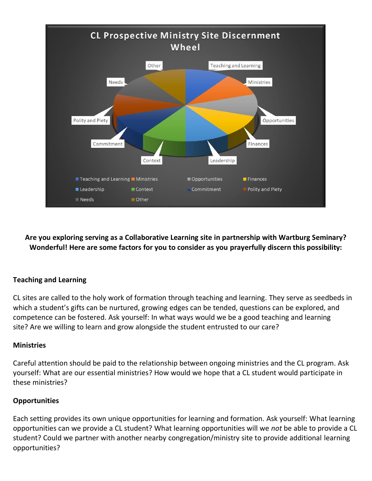

**Are you exploring serving as a Collaborative Learning site in partnership with Wartburg Seminary? Wonderful! Here are some factors for you to consider as you prayerfully discern this possibility:**

## **Teaching and Learning**

CL sites are called to the holy work of formation through teaching and learning. They serve as seedbeds in which a student's gifts can be nurtured, growing edges can be tended, questions can be explored, and competence can be fostered. Ask yourself: In what ways would we be a good teaching and learning site? Are we willing to learn and grow alongside the student entrusted to our care?

## **Ministries**

Careful attention should be paid to the relationship between ongoing ministries and the CL program. Ask yourself: What are our essential ministries? How would we hope that a CL student would participate in these ministries?

## **Opportunities**

Each setting provides its own unique opportunities for learning and formation. Ask yourself: What learning opportunities can we provide a CL student? What learning opportunities will we *not* be able to provide a CL student? Could we partner with another nearby congregation/ministry site to provide additional learning opportunities?